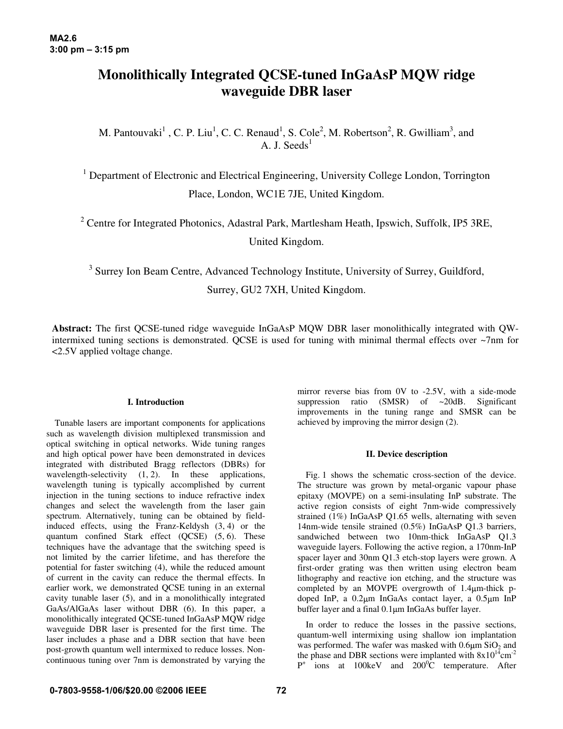# **Monolithically Integrated QCSE-tuned InGaAsP MQW ridge waveguide DBR laser**

M. Pantouvaki<sup>1</sup>, C. P. Liu<sup>1</sup>, C. C. Renaud<sup>1</sup>, S. Cole<sup>2</sup>, M. Robertson<sup>2</sup>, R. Gwilliam<sup>3</sup>, and A. J. Seeds<sup>1</sup>

<sup>1</sup> Department of Electronic and Electrical Engineering, University College London, Torrington Place, London, WC1E 7JE, United Kingdom.

<sup>2</sup> Centre for Integrated Photonics, Adastral Park, Martlesham Heath, Ipswich, Suffolk, IP5 3RE, United Kingdom.

<sup>3</sup> Surrey Ion Beam Centre, Advanced Technology Institute, University of Surrey, Guildford, Surrey, GU2 7XH, United Kingdom.

**Abstract:** The first QCSE-tuned ridge waveguide InGaAsP MQW DBR laser monolithically integrated with QWintermixed tuning sections is demonstrated. QCSE is used for tuning with minimal thermal effects over ~7nm for <2.5V applied voltage change.

## **I. Introduction**

Tunable lasers are important components for applications such as wavelength division multiplexed transmission and optical switching in optical networks. Wide tuning ranges and high optical power have been demonstrated in devices integrated with distributed Bragg reflectors (DBRs) for wavelength-selectivity  $(1, 2)$ . In these applications, wavelength tuning is typically accomplished by current injection in the tuning sections to induce refractive index changes and select the wavelength from the laser gain spectrum. Alternatively, tuning can be obtained by fieldinduced effects, using the Franz-Keldysh (3, 4) or the quantum confined Stark effect (QCSE) (5, 6). These techniques have the advantage that the switching speed is not limited by the carrier lifetime, and has therefore the potential for faster switching (4), while the reduced amount of current in the cavity can reduce the thermal effects. In earlier work, we demonstrated QCSE tuning in an external cavity tunable laser (5), and in a monolithically integrated GaAs/AlGaAs laser without DBR (6). In this paper, a monolithically integrated QCSE-tuned InGaAsP MQW ridge waveguide DBR laser is presented for the first time. The laser includes a phase and a DBR section that have been post-growth quantum well intermixed to reduce losses. Noncontinuous tuning over 7nm is demonstrated by varying the

mirror reverse bias from 0V to -2.5V, with a side-mode suppression ratio (SMSR) of ~20dB. Significant improvements in the tuning range and SMSR can be achieved by improving the mirror design (2).

## **II. Device description**

Fig. 1 shows the schematic cross-section of the device. The structure was grown by metal-organic vapour phase epitaxy (MOVPE) on a semi-insulating InP substrate. The active region consists of eight 7nm-wide compressively strained (1%) InGaAsP Q1.65 wells, alternating with seven 14nm-wide tensile strained (0.5%) InGaAsP Q1.3 barriers, sandwiched between two 10nm-thick InGaAsP Q1.3 waveguide layers. Following the active region, a 170nm-InP spacer layer and 30nm Q1.3 etch-stop layers were grown. A first-order grating was then written using electron beam lithography and reactive ion etching, and the structure was completed by an MOVPE overgrowth of 1.4 $\mu$ m-thick pdoped InP, a 0.2µm InGaAs contact layer, a 0.5µm InP buffer layer and a final 0.1 um InGaAs buffer layer.

In order to reduce the losses in the passive sections, quantum-well intermixing using shallow ion implantation was performed. The wafer was masked with  $0.6 \mu m$  SiO<sub>2</sub> and the phase and DBR sections were implanted with  $8x10^{14}$ cm<sup>-2</sup>  $P^+$  ions at 100keV and 200<sup>0</sup>C temperature. After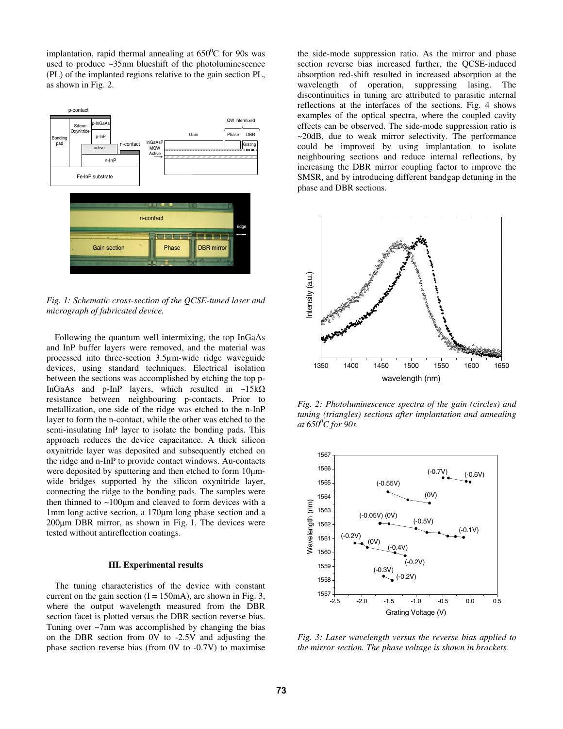implantation, rapid thermal annealing at  $650^{\circ}$ C for 90s was used to produce ~35nm blueshift of the photoluminescence (PL) of the implanted regions relative to the gain section PL, as shown in Fig. 2.



*Fig. 1: Schematic cross-section of the QCSE-tuned laser and micrograph of fabricated device.* 

Following the quantum well intermixing, the top InGaAs and InP buffer layers were removed, and the material was processed into three-section 3.5µm-wide ridge waveguide devices, using standard techniques. Electrical isolation between the sections was accomplished by etching the top p-InGaAs and p-InP layers, which resulted in ~15k $\Omega$ resistance between neighbouring p-contacts. Prior to metallization, one side of the ridge was etched to the n-InP layer to form the n-contact, while the other was etched to the semi-insulating InP layer to isolate the bonding pads. This approach reduces the device capacitance. A thick silicon oxynitride layer was deposited and subsequently etched on the ridge and n-InP to provide contact windows. Au-contacts were deposited by sputtering and then etched to form  $10 \mu m$ wide bridges supported by the silicon oxynitride layer, connecting the ridge to the bonding pads. The samples were then thinned to  $\sim$ 100 $\mu$ m and cleaved to form devices with a  $1$ mm long active section, a  $170 \mu m$  long phase section and a  $200 \mu m$  DBR mirror, as shown in Fig. 1. The devices were tested without antireflection coatings.

#### **III. Experimental results**

The tuning characteristics of the device with constant current on the gain section  $(I = 150 \text{mA})$ , are shown in Fig. 3, where the output wavelength measured from the DBR section facet is plotted versus the DBR section reverse bias. Tuning over ~7nm was accomplished by changing the bias on the DBR section from 0V to -2.5V and adjusting the phase section reverse bias (from 0V to -0.7V) to maximise

the side-mode suppression ratio. As the mirror and phase section reverse bias increased further, the QCSE-induced absorption red-shift resulted in increased absorption at the wavelength of operation, suppressing lasing. The discontinuities in tuning are attributed to parasitic internal reflections at the interfaces of the sections. Fig. 4 shows examples of the optical spectra, where the coupled cavity effects can be observed. The side-mode suppression ratio is ~20dB, due to weak mirror selectivity. The performance could be improved by using implantation to isolate neighbouring sections and reduce internal reflections, by increasing the DBR mirror coupling factor to improve the SMSR, and by introducing different bandgap detuning in the phase and DBR sections.



*Fig. 2: Photoluminescence spectra of the gain (circles) and tuning (triangles) sections after implantation and annealing at 6500 C for 90s.* 



*Fig. 3: Laser wavelength versus the reverse bias applied to the mirror section. The phase voltage is shown in brackets.*